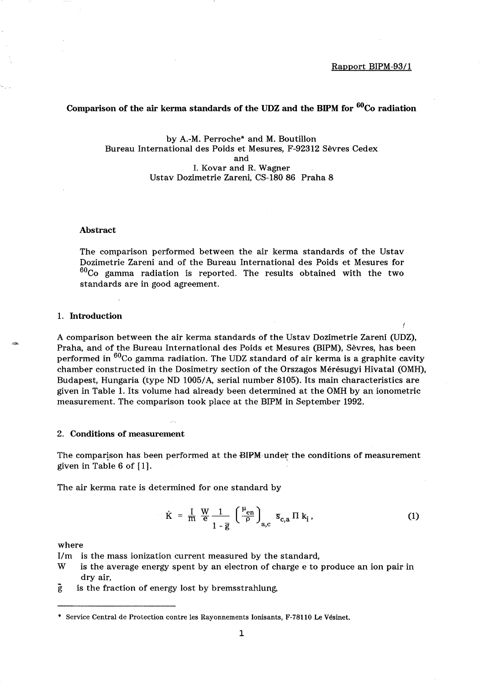# Comparison of the air kerma standards of the UDZ and the BIPM for  $^{60}$ Co radiation

### by A.-M. Perroche\* and M. Boutillon Bureau International des Poids et Mesures, F-92312 Sèvres Cedex and 1. Kovar and R. Wagner Ustav Dozimetrie Zareni, CS-180 86 Praha 8

#### Abstract

The comparison performed between the air kerma standards of the Ustav Dozimetrie Zareni and of the Bureau International des Poids et Mesures for  $^{60}$ Co gamma radiation is reported. The results obtained with the two standards are in good agreement.

### 1. Introduction

A comparison between the air kerma standards of the Ustav Dozimetrie Zareni (UDZ), Praha, and of the Bureau International des Poids et Mesures (BIPM), Sèvres, has been performed in  ${}^{60}$ Co gamma radiation. The UDZ standard of air kerma is a graphite cavity chamber constructed in the Dosimetry section of the Orszagos Mérésugyi Hivatal (OMH), Budapest, Hungaria (type ND 1005/A, serial number 8105). Its main characteristics are given in Table 1. Its volume had already been determined at the OMH by an ionometric measurement. The comparison took place at the BIPM in September 1992.

#### 2. Conditions of measurement

The comparison has been performed at the BIPM under the conditions of measurement given in Table 6 of  $[1]$ .

The air kerma rate is determined for one standard by

$$
\dot{K} = \frac{I}{m} \frac{W}{e} \frac{1}{1 - \bar{g}} \left( \frac{\mu_{en}}{\rho} \right)_{a,c} \bar{s}_{c,a} \Pi k_i, \qquad (1)
$$

where

I/m is the mass ionization current measured by the standard,

- W is the average energy spent by an electron of charge e to produce an ion pair in dry air,
- $\mathbf{\ddot{g}}$  is the fraction of energy lost by bremsstrahlung,

<sup>•</sup> Service Central de Protection contre les Rayonnements Ionisants, F-78110 Le Vésinet.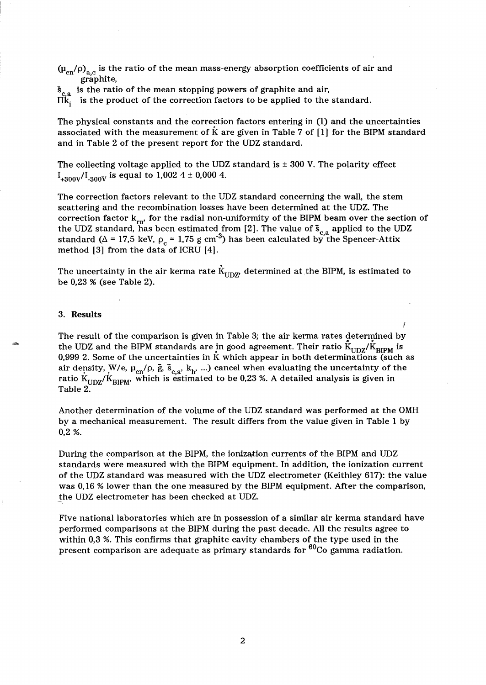$(\mu_{en}/\rho)_{a,c}$  is the ratio of the mean mass-energy absorption coefficients of air and graphite,

 $\bar{s}_{c,a}$  is the ratio of the mean stopping powers of graphite and air,

 $\Pi\breve{\mathbf{k}_i}$  is the product of the correction factors to be applied to the standard.

The physical constants and the correction factors entering in (1) and the uncertainties associated with the measurement of *k* are given in Table 7 of [lJ for the BIPM standard and in Table 2 of the present report for the UDZ standard.

The collecting voltage applied to the UDZ standard is  $\pm$  300 V. The polarity effect  $I_{+300V}/I_{-300V}$  is equal to 1,002 4 ± 0,000 4.

The correction factors relevant to the UDZ standard concerning the wall, the stem scattering and the recombination losses have been determined at the UDZ. The correction factor  $k_{rn}$ , for the radial non-uniformity of the BIPM beam over the section of the UDZ standard, has been estimated from [2]. The value of  $\bar{s}_{c,a}$  applied to the UDZ standard ( $\Delta$  = 17,5 keV,  $\rho_c$  = 1,75 g cm<sup>-3</sup>) has been calculated by the Spencer-Attix method  $[3]$  from the data of ICRU  $[4]$ .

The uncertainty in the air kerma rate  $\dot{K}_{UDZ'}$  determined at the BIPM, is estimated to be 0,23 % (see Table 2).

### 3. Results

di m

The result of the comparison is given in Table 3; the air kerma rates determined by<br>the UDZ and the BIPM standards are in good agreement. Their ratio  $\rm{\dot{K}_{UDZ}/\dot{K}_{RIPM}}$  is 0,999 2. Some of the uncertainties in  $\bar{K}$  which appear in both determinations (such as air density, W/e,  $\mu_{en}/\rho$ ,  $\bar{g}$ ,  $\bar{s}_{c,a}$ ,  $k_h$ , ...) cancel when evaluating the uncertainty of the ratio  $K_{\text{HDZ}}/K_{\text{RIPM}}$ , which is estimated to be 0,23 %. A detailed analysis is given in Table 2.

Another determination of the volume of the UDZ standard was performed at the OMH by a mechanical measurement. The result differs from the value given in Table 1 by 0,2 %.

During the comparison at the BIPM, the ionization currents of the BIPM and UDZ standards were measured with the BIPM equipment. In addition, the ionization current of the UDZ standard was measured with the UDZ electrometer (Keithley 617): the value was 0,16 % lower than the one measured by the BIPM equipment. After the comparison, the UDZ electrometer has been checked at UDZ.

Five national laboratories which are in possession of a similar air kerma standard have performed comparisons at the BIPM during the past decade. All the results agree to within 0,3 %. This confirms that graphite cavity chambers of the type used in the present comparison are adequate as primary standards for  $60C_0$  gamma radiation.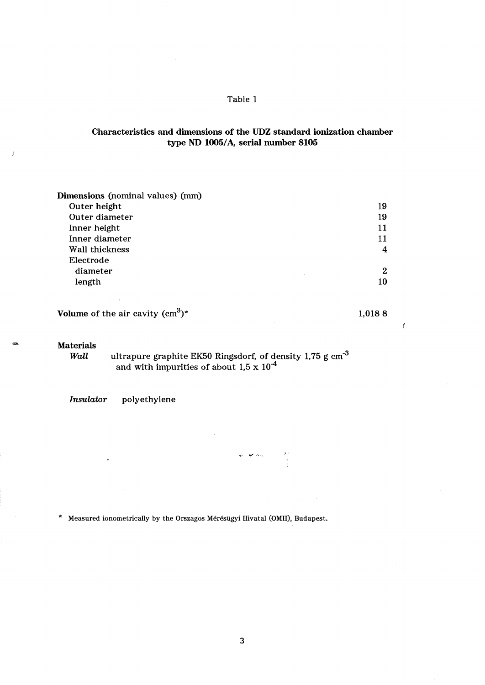## Table 1

# Characteristics and dimensions of the UDZ standard ionization chamber type ND 1005/A, serial number 8105

| Dimensions (nominal values) (mm) |    |
|----------------------------------|----|
| Outer height                     | 19 |
| Outer diameter                   | 19 |
| Inner height                     | 11 |
| Inner diameter                   | 11 |
| Wall thickness                   | 4  |
| Electrode                        |    |
| diameter<br>÷.                   | 2  |
| length                           | 10 |

| Volume of the air cavity $(cm^3)^*$ | 1,0188 |
|-------------------------------------|--------|
|                                     |        |

 $\boldsymbol{J}$ 

#### Materials

*Wall*  $\quad$  ultrapure graphite EK50 Ringsdorf, of density 1,75 g cm<sup>-3</sup> and with impurities of about 1,5 x  $10^{-4}$ 

*Insulator* polyethylene

\* Measured ionometrically by the Orszagos Mérésügyi Hivatal (OMH), Budapest.

3

 $\begin{array}{c} \begin{array}{c} 0.1 \\ 0.1 \end{array} \\ \begin{array}{c} 0.1 \\ \end{array} \\ \begin{array}{c} 0.1 \\ \end{array} \\ \begin{array}{c} 0.1 \\ \end{array} \end{array}$ 

 $\label{eq:st} \Psi \mathbf{Y} = \frac{\mathbf{W}}{2} \mathbf{Y} \left[ \mathbf{Y}^T \mathbf{Y} \right]^{-1}$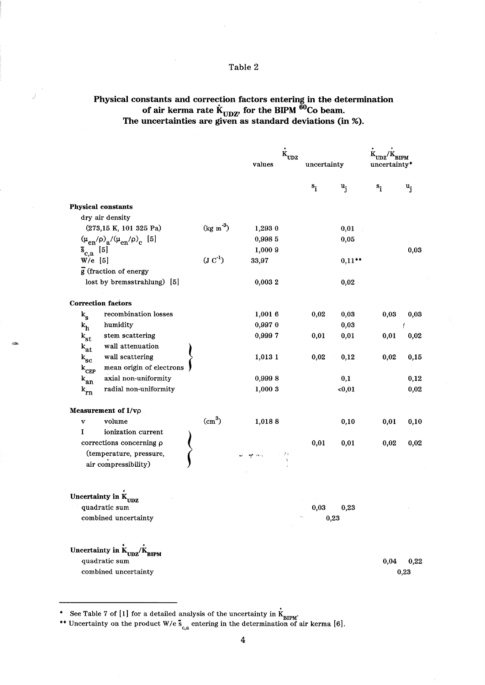# Table 2

# Physical constants and correction factors entering in the determination of air kerma rate  $\rm{K_{UDZ}}$  for the BIPM  $\rm{^{60}Co}$  beam. The uncertainties are given as standard deviations (in %).

|                                                                                                                                                                                                 |                                | $\dot{\kappa}_{\text{upz}}$<br>values | uncertainty |           | uncertainty* |              |
|-------------------------------------------------------------------------------------------------------------------------------------------------------------------------------------------------|--------------------------------|---------------------------------------|-------------|-----------|--------------|--------------|
|                                                                                                                                                                                                 |                                |                                       | $s_i$       | $u_i$     | $s_i$        | $u_i$        |
| <b>Physical constants</b>                                                                                                                                                                       |                                |                                       |             |           |              |              |
| dry air density                                                                                                                                                                                 |                                |                                       |             |           |              |              |
| (273,15 K, 101 325 Pa)                                                                                                                                                                          | $(\text{kg m}^{-3})$           | 1,293 0                               |             | 0,01      |              |              |
| $(\mu_{en}/\rho)_{a}/(\mu_{en}/\rho)_{c}$ [5]                                                                                                                                                   |                                | 0,998 5                               |             | 0,05      |              |              |
| $\bar{s}_{c,a}$ [5]                                                                                                                                                                             |                                | 1,000 9                               |             |           |              | 0,03         |
| $W/e$ [5]                                                                                                                                                                                       | $(\mathrm{J} \mathrm{C}^{-1})$ | 33,97                                 |             | $0,11***$ |              |              |
| g (fraction of energy                                                                                                                                                                           |                                |                                       |             |           |              |              |
| lost by bremsstrahlung) [5]                                                                                                                                                                     |                                | 0,0032                                |             | 0,02      |              |              |
| <b>Correction factors</b>                                                                                                                                                                       |                                |                                       |             |           |              |              |
| recombination losses<br>$k_{\rm s}$                                                                                                                                                             |                                | 1,001 6                               | 0,02        | 0,03      | 0,03         | 0,03         |
| humidity<br>$k_h$                                                                                                                                                                               |                                | 0,9970                                |             | 0,03      |              | Ť            |
| stem scattering<br>$k_{st}$                                                                                                                                                                     |                                | 0,9997                                | 0,01        | 0,01      | 0,01         | 0,02         |
| wall attenuation<br>$\mathbf{k}_{\text{at}}$                                                                                                                                                    |                                |                                       |             |           |              |              |
| wall scattering<br>$\mathbf{k_{sc}}$                                                                                                                                                            |                                | 1,013 1                               | 0,02        | 0,12      | 0,02         | 0,15         |
| mean origin of electrons<br>$k_{CEP}$                                                                                                                                                           |                                |                                       |             |           |              |              |
| axial non-uniformity<br>$k_{an}$                                                                                                                                                                |                                | 0,9998                                |             | 0,1       |              | 0,12         |
| radial non-uniformity<br>$k_{rn}$                                                                                                                                                               |                                | 1,000 3                               |             | $0,01$    |              | 0,02         |
| Measurement of I/vo                                                                                                                                                                             |                                |                                       |             |           |              |              |
| volume<br>v                                                                                                                                                                                     | $\text{cm}^3$                  | 1,0188                                |             | 0,10      | 0,01         | 0,10         |
| ionization current<br>I                                                                                                                                                                         |                                |                                       |             |           |              |              |
| corrections concerning p                                                                                                                                                                        |                                |                                       | 0,01        | 0,01      | 0,02         | 0,02         |
| (temperature, pressure,<br>air compressibility)                                                                                                                                                 |                                | 小学生<br>er mis                         |             |           |              |              |
| Uncertainty in K <sub>UDZ</sub><br>quadratic sum                                                                                                                                                |                                |                                       | 0,03        | 0,23      |              |              |
| combined uncertainty<br>Uncertainty in $\dot{\mathbf{K}}_{\mathbf{U}\mathbf{D}\mathbf{Z}}/\dot{\mathbf{K}}_{\mathbf{B}\mathbf{I}\mathbf{P}\mathbf{M}}$<br>quadratic sum<br>combined uncertainty |                                |                                       |             | 0,23      | 0,04         | 0,22<br>0,23 |

<sup>•</sup> See Table 7 of [1] for a detailed analysis of the uncertainty in  $\dot{K}_{\text{BIPM}}$ .

<sup>\*\*</sup> Uncertainty on the product W/e  $\bar{s}_{c,a}$  entering in the determination of air kerma [6].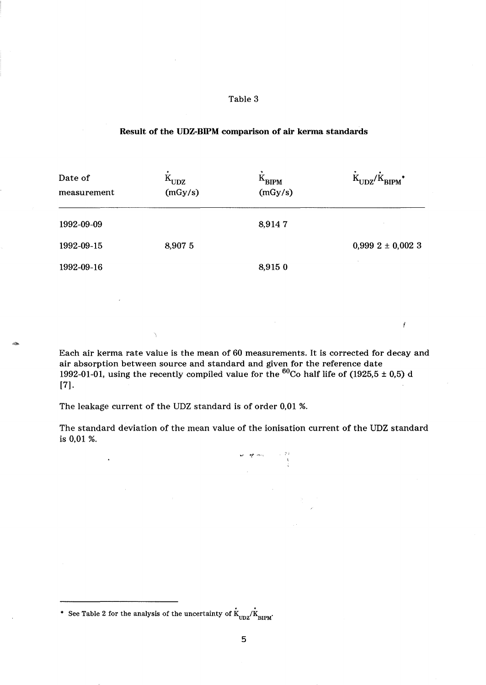### Table 3

## Result of the UDZ-BIPM comparison of air kerma standards

| Date of<br>measurement | $K_{UDZ}$<br>(mGy/s) | $K_{\text{BIPM}}$<br>(mGy/s) | $K_{UDZ}/K_{BIPM}$ * |
|------------------------|----------------------|------------------------------|----------------------|
| 1992-09-09             |                      | 8,9147                       |                      |
| 1992-09-15             | 8,907 5              |                              | $0,9992 \pm 0,0023$  |
| 1992-09-16             |                      | 8,915 0                      |                      |

Each air kerma rate value is the mean of 60 measurements. It is corrected for decay and air absorption between source and standard and given for the reference date 1992-01-01, using the recently compiled value for the  $^{60}\mathrm{Co}$  half life of (1925,5  $\pm$  0,5) d  $[7]$ .

The leakage current of the UDZ standard is of order 0,01 %.

 $\ddot{\phantom{1}}$ 

Ä

The standard deviation of the mean value of the ionisation current of the UDZ standard is 0,01 %.

 $\begin{aligned} \frac{1}{2}\mathcal{F}^{\prime\prime} & = \frac{1}{2}\mathcal{F}^{\prime\prime} \mathcal{F}^{\prime\prime} + \frac{1}{2}\mathcal{F}^{\prime\prime} \mathcal{F}^{\prime\prime} + \frac{1}{2}\mathcal{F}^{\prime\prime} \mathcal{F}^{\prime\prime} + \frac{1}{2}\mathcal{F}^{\prime\prime} \mathcal{F}^{\prime\prime} + \frac{1}{2}\mathcal{F}^{\prime\prime} \mathcal{F}^{\prime\prime} + \frac{1}{2}\mathcal{F}^{\prime\prime} \mathcal{F}^{\prime\prime} + \frac{1}{2}\mathcal$ 

 $\mathcal{I}$ 

<sup>\*</sup> See Table 2 for the analysis of the uncertainty of  $\dot{K}_{UDZ}/\dot{K}_{BIPM}$ .